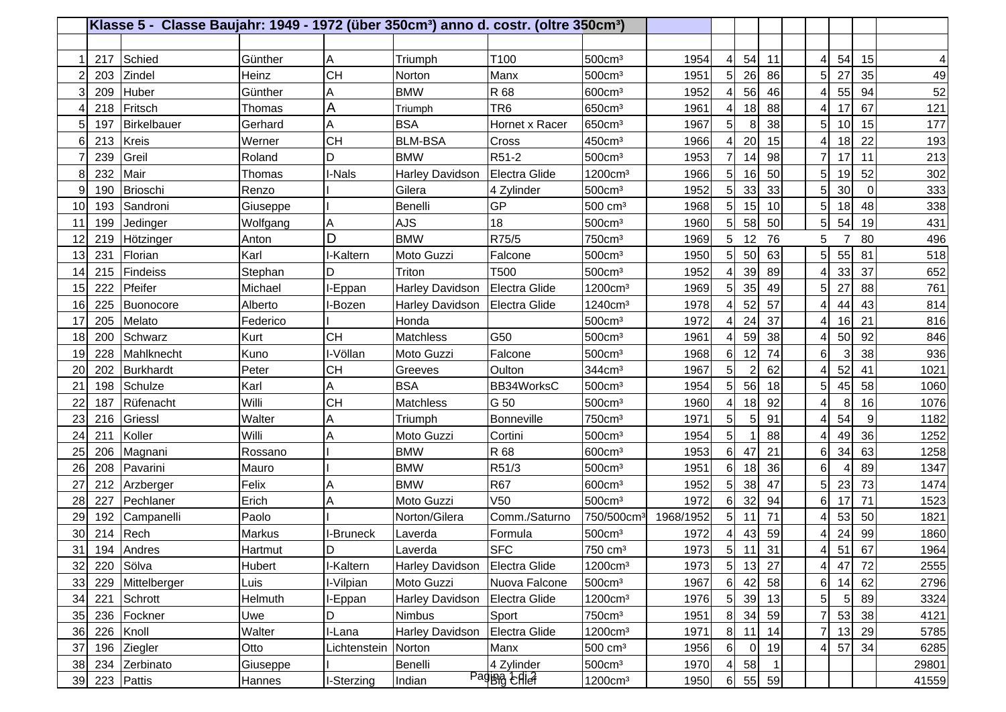| Klasse 5 - Classe Baujahr: 1949 - 1972 (über 350cm <sup>3</sup> ) anno d. costr. (oltre 350cm <sup>3</sup> ) |          |                     |          |              |                                 |                   |                        |           |                |                 |              |                 |                |                |       |
|--------------------------------------------------------------------------------------------------------------|----------|---------------------|----------|--------------|---------------------------------|-------------------|------------------------|-----------|----------------|-----------------|--------------|-----------------|----------------|----------------|-------|
|                                                                                                              |          |                     |          |              |                                 |                   |                        |           |                |                 |              |                 |                |                |       |
|                                                                                                              | 217      | Schied              | Günther  | Α            | Triumph                         | T100              | 500cm <sup>3</sup>     | 1954      | 4              | 54              | 11           | 4               | 54             | 15             |       |
|                                                                                                              | 203      | Zindel              | Heinz    | <b>CH</b>    | Norton                          | Manx              | 500cm <sup>3</sup>     | 1951      | 5              | 26              | 86           | 5               | 27             | 35             | 49    |
|                                                                                                              | 209      | Huber               | Günther  | A            | <b>BMW</b>                      | R 68              | 600cm <sup>3</sup>     | 1952      | 4              | 56              | 46           | 4               | 55             | 94             | 52    |
|                                                                                                              | 218      | Fritsch             | Thomas   | A            | Triumph                         | TR <sub>6</sub>   | 650cm <sup>3</sup>     | 1961      |                | 18 <sup>1</sup> | 88           | 4               | 17             | 67             | 121   |
|                                                                                                              | 197      | Birkelbauer         | Gerhard  | A            | <b>BSA</b>                      | Hornet x Racer    | 650cm <sup>3</sup>     | 1967      | 5              | 8               | 38           | 5               | 10             | 15             | 177   |
| 6                                                                                                            | 213      | <b>Kreis</b>        | Werner   | <b>CH</b>    | <b>BLM-BSA</b>                  | Cross             | 450cm <sup>3</sup>     | 1966      |                | 20              | 15           |                 | 18             | 22             | 193   |
|                                                                                                              | 239      | Greil               | Roland   | D            | <b>BMW</b>                      | R51-2             | 500cm <sup>3</sup>     | 1953      |                | 14              | 98           |                 | 17             | 11             | 213   |
| 8                                                                                                            | 232      | Mair                | Thomas   | I-Nals       | Harley Davidson                 | Electra Glide     | 1200cm <sup>3</sup>    | 1966      | 5              | 16I             | 50           | 5               | 19             | 52             | 302   |
| 9                                                                                                            | 190      | Brioschi            | Renzo    |              | Gilera                          | 4 Zylinder        | 500cm <sup>3</sup>     | 1952      | 5 <sub>l</sub> | 33              | 33           | 5               | 30             | $\overline{0}$ | 333   |
| 10                                                                                                           | 193      | Sandroni            | Giuseppe |              | Benelli                         | GP                | 500 cm <sup>3</sup>    | 1968      | 5 <sup>1</sup> | 15              | 10           | 5               | 18             | 48             | 338   |
| 11                                                                                                           | 199      | Jedinger            | Wolfgang | A            | <b>AJS</b>                      | 18                | 500cm <sup>3</sup>     | 1960      | 5              | 58              | 50           | 5               | 54             | 19             | 431   |
| 12                                                                                                           | 219      | Hötzinger           | Anton    | D            | <b>BMW</b>                      | R75/5             | 750cm <sup>3</sup>     | 1969      | 5              | 12              | 76           | 5               |                | 80             | 496   |
| 13                                                                                                           | 231      | Florian             | Karl     | I-Kaltern    | Moto Guzzi                      | Falcone           | 500cm <sup>3</sup>     | 1950      | 5              | 50              | 63           | 5               | 55             | 81             | 518   |
| 14                                                                                                           | 215      | <b>Findeiss</b>     | Stephan  | D            | Triton                          | T500              | 500cm <sup>3</sup>     | 1952      |                | 39              | 89           | 4               | 33             | 37             | 652   |
| 15                                                                                                           | 222      | Pfeifer             | Michael  | I-Eppan      | Harley Davidson                 | Electra Glide     | 1200cm <sup>3</sup>    | 1969      |                | 35              | 49           | 5               | 27             | 88             | 761   |
| 16                                                                                                           | 225      | Buonocore           | Alberto  | I-Bozen      | Harley Davidson                 | Electra Glide     | 1240cm <sup>3</sup>    | 1978      |                | 52              | 57           | 4               | 44             | 43             | 814   |
| 17                                                                                                           | 205      | Melato              | Federico |              | Honda                           |                   | 500cm <sup>3</sup>     | 1972      |                | 24              | 37           | $\overline{4}$  | 16             | 21             | 816   |
| 18                                                                                                           | 200      | Schwarz             | Kurt     | <b>CH</b>    | Matchless                       | G50               | 500cm <sup>3</sup>     | 1961      |                | 59              | 38           | 4               | 50             | 92             | 846   |
| 19                                                                                                           | 228      | Mahlknecht          | Kuno     | I-Völlan     | Moto Guzzi                      | Falcone           | 500cm <sup>3</sup>     | 1968      | 6              | 12              | 74           | 6               | 3              | 38             | 936   |
| 20                                                                                                           | 202      | <b>Burkhardt</b>    | Peter    | <b>CH</b>    | Greeves                         | Oulton            | 344cm <sup>3</sup>     | 1967      | 5              | 2               | 62           | $\overline{4}$  | 52             | 41             | 1021  |
| 21                                                                                                           | 198      | Schulze             | Karl     | A            | <b>BSA</b>                      | BB34WorksC        | 500cm <sup>3</sup>     | 1954      | 5              | 56              | 18           | 5               | 45             | 58             | 1060  |
| 22                                                                                                           | 187      | Rüfenacht           | Willi    | <b>CH</b>    | Matchless                       | G 50              | 500cm <sup>3</sup>     | 1960      |                | 18 <sup>l</sup> | 92           | 4               | 8              | 16             | 1076  |
| 23                                                                                                           | 216      | Griessl             | Walter   | A            | Triumph                         | <b>Bonneville</b> | 750cm <sup>3</sup>     | 1971      | 5 <sub>l</sub> | 5               | 91           | ⊿               | 54             | 9              | 1182  |
| 24                                                                                                           | 211      | Koller              | Willi    | A            | Moto Guzzi                      | Cortini           | 500cm <sup>3</sup>     | 1954      | 5              |                 | 88           | 4               | 49             | 36             | 1252  |
| 25                                                                                                           | 206      | Magnani             | Rossano  |              | <b>BMW</b>                      | R 68              | 600cm <sup>3</sup>     | 1953      | $6 \mid$       | 47              | 21           | 6               | 34             | 63             | 1258  |
| 26                                                                                                           | 208      | Pavarini            | Mauro    |              | <b>BMW</b>                      | R51/3             | 500cm <sup>3</sup>     | 1951      | 6              | 18 <sup>l</sup> | 36           | 6               |                | 89             | 1347  |
| 27                                                                                                           | 212      | Arzberger           | Felix    | A            | <b>BMW</b>                      | <b>R67</b>        | 600cm <sup>3</sup>     | 1952      | 5              | 38              | 47           | 5               | 23             | 73             | 1474  |
| 28                                                                                                           | 227      | Pechlaner           | Erich    | A            | Moto Guzzi                      | V <sub>50</sub>   | 500cm <sup>3</sup>     | 1972      | 6              | 32              | 94           | 6               | 17             | 71             | 1523  |
| 29                                                                                                           | 192      | Campanelli          | Paolo    |              | Norton/Gilera                   | Comm./Saturno     | 750/500cm <sup>3</sup> | 1968/1952 | 5              | 11              | 71           | 4               | 53             | 50             | 1821  |
| 30                                                                                                           | 214      | Rech                | Markus   | I-Bruneck    | Laverda                         | Formula           | 500cm <sup>3</sup>     | 1972      |                | 43              | 59           |                 | 24             | 99             | 1860  |
| 31                                                                                                           |          | 194 Andres          | Hartmut  | <b>ID</b>    | Laverda                         | SFC               | 750 cm <sup>3</sup>    | 1973      |                |                 | $5$ 11 31    |                 |                | $4$ 51 67      | 1964  |
|                                                                                                              |          | 32 220 Sölva        | Hubert   | I-Kaltern    | Harley Davidson Electra Glide   |                   | 1200cm <sup>3</sup>    | 1973      |                | 5 13 27         |              | $\vert 4 \vert$ |                | 47 72          | 2555  |
|                                                                                                              |          | 33 229 Mittelberger | Luis     | I-Vilpian    | Moto Guzzi                      | Nuova Falcone     | 500cm <sup>3</sup>     | 1967      | 6 <sup>1</sup> | 42              | 58           | 6               | 14             | 62             | 2796  |
|                                                                                                              | $34$ 221 | Schrott             | Helmuth  | I-Eppan      | Harley Davidson   Electra Glide |                   | 1200cm <sup>3</sup>    | 1976      | 5 <sup>1</sup> |                 | $39$ 13      | 5               | 5 <sup>1</sup> | 89             | 3324  |
|                                                                                                              |          | 35 236 Fockner      | Uwe      | D            | Nimbus                          | Sport             | 750cm <sup>3</sup>     | 1951      | 8 <sup>1</sup> | 34              | 59           | $\overline{7}$  | 53             | 38             | 4121  |
| 36                                                                                                           |          | 226 Knoll           | Walter   | I-Lana       | Harley Davidson                 | Electra Glide     | 1200cm <sup>3</sup>    | 1971      | 8              | 11              | 14           | 7               | 13             | 29             | 5785  |
| 37                                                                                                           | 196      | Ziegler             | Otto     | Lichtenstein | Norton                          | Manx              | 500 cm <sup>3</sup>    | 1956      | $6 \mid$       | $\overline{0}$  | 19           | 4               | 57             | 34             | 6285  |
|                                                                                                              |          | 38 234 Zerbinato    | Giuseppe |              | Benelli                         | 4 Zylinder        | 500cm <sup>3</sup>     | 1970      | $\vert$        | 58              | $\mathbf{1}$ |                 |                |                | 29801 |
|                                                                                                              |          | 39 223 Pattis       | Hannes   | I-Sterzing   | Indian                          | Paging Chief      | 1200cm <sup>3</sup>    | 1950      | 6 <sup>1</sup> |                 | 55 59        |                 |                |                | 41559 |